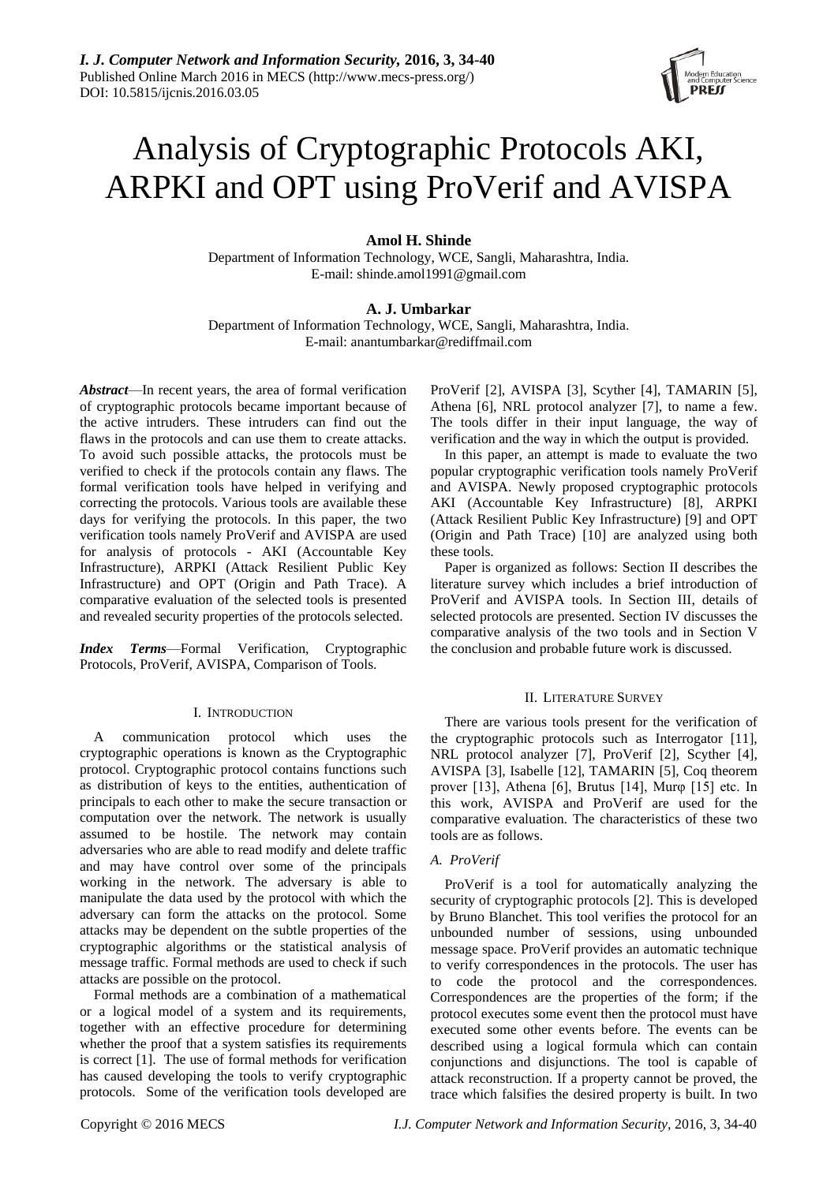

# Analysis of Cryptographic Protocols AKI, ARPKI and OPT using ProVerif and AVISPA

## **Amol H. Shinde**

Department of Information Technology, WCE, Sangli, Maharashtra, India. E-mail: shinde.amol1991@gmail.com

## **A. J. Umbarkar**

Department of Information Technology, WCE, Sangli, Maharashtra, India. E-mail: anantumbarkar@rediffmail.com

*Abstract*—In recent years, the area of formal verification of cryptographic protocols became important because of the active intruders. These intruders can find out the flaws in the protocols and can use them to create attacks. To avoid such possible attacks, the protocols must be verified to check if the protocols contain any flaws. The formal verification tools have helped in verifying and correcting the protocols. Various tools are available these days for verifying the protocols. In this paper, the two verification tools namely ProVerif and AVISPA are used for analysis of protocols - AKI (Accountable Key Infrastructure), ARPKI (Attack Resilient Public Key Infrastructure) and OPT (Origin and Path Trace). A comparative evaluation of the selected tools is presented and revealed security properties of the protocols selected.

*Index Terms*—Formal Verification, Cryptographic Protocols, ProVerif, AVISPA, Comparison of Tools.

#### I. INTRODUCTION

A communication protocol which uses the cryptographic operations is known as the Cryptographic protocol. Cryptographic protocol contains functions such as distribution of keys to the entities, authentication of principals to each other to make the secure transaction or computation over the network. The network is usually assumed to be hostile. The network may contain adversaries who are able to read modify and delete traffic and may have control over some of the principals working in the network. The adversary is able to manipulate the data used by the protocol with which the adversary can form the attacks on the protocol. Some attacks may be dependent on the subtle properties of the cryptographic algorithms or the statistical analysis of message traffic. Formal methods are used to check if such attacks are possible on the protocol.

Formal methods are a combination of a mathematical or a logical model of a system and its requirements, together with an effective procedure for determining whether the proof that a system satisfies its requirements is correct [1]. The use of formal methods for verification has caused developing the tools to verify cryptographic protocols. Some of the verification tools developed are ProVerif [2], AVISPA [3], Scyther [4], TAMARIN [5], Athena [6], NRL protocol analyzer [7], to name a few. The tools differ in their input language, the way of verification and the way in which the output is provided.

In this paper, an attempt is made to evaluate the two popular cryptographic verification tools namely ProVerif and AVISPA. Newly proposed cryptographic protocols AKI (Accountable Key Infrastructure) [8], ARPKI (Attack Resilient Public Key Infrastructure) [9] and OPT (Origin and Path Trace) [10] are analyzed using both these tools.

Paper is organized as follows: Section II describes the literature survey which includes a brief introduction of ProVerif and AVISPA tools. In Section III, details of selected protocols are presented. Section IV discusses the comparative analysis of the two tools and in Section V the conclusion and probable future work is discussed.

#### II. LITERATURE SURVEY

There are various tools present for the verification of the cryptographic protocols such as Interrogator [11], NRL protocol analyzer [7], ProVerif [2], Scyther [4], AVISPA [3], Isabelle [12], TAMARIN [5], Coq theorem prover [13], Athena [6], Brutus [14], Murφ [15] etc. In this work, AVISPA and ProVerif are used for the comparative evaluation. The characteristics of these two tools are as follows.

## *A. ProVerif*

ProVerif is a tool for automatically analyzing the security of cryptographic protocols [2]. This is developed by Bruno Blanchet. This tool verifies the protocol for an unbounded number of sessions, using unbounded message space. ProVerif provides an automatic technique to verify correspondences in the protocols. The user has to code the protocol and the correspondences. Correspondences are the properties of the form; if the protocol executes some event then the protocol must have executed some other events before. The events can be described using a logical formula which can contain conjunctions and disjunctions. The tool is capable of attack reconstruction. If a property cannot be proved, the trace which falsifies the desired property is built. In two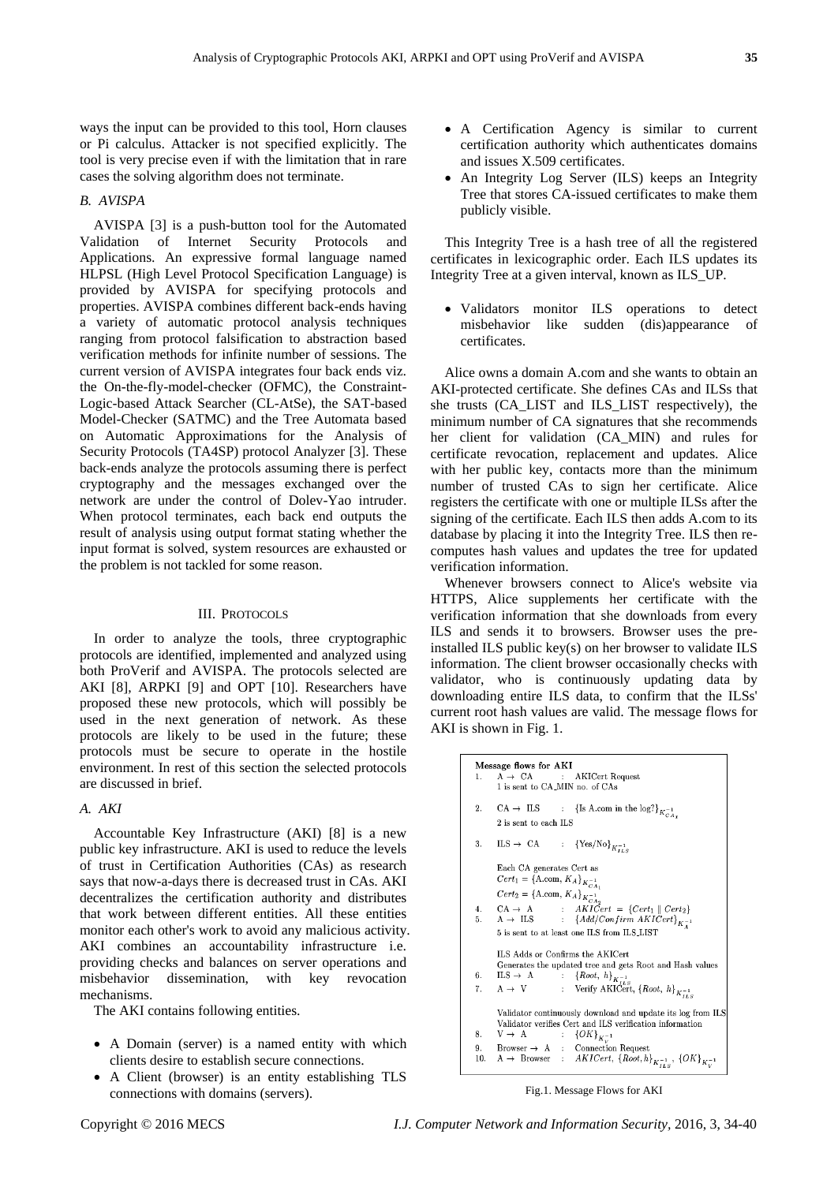ways the input can be provided to this tool, Horn clauses or Pi calculus. Attacker is not specified explicitly. The tool is very precise even if with the limitation that in rare cases the solving algorithm does not terminate.

## *B. AVISPA*

AVISPA [3] is a push-button tool for the Automated Validation of Internet Security Protocols and Applications. An expressive formal language named HLPSL (High Level Protocol Specification Language) is provided by AVISPA for specifying protocols and properties. AVISPA combines different back-ends having a variety of automatic protocol analysis techniques ranging from protocol falsification to abstraction based verification methods for infinite number of sessions. The current version of AVISPA integrates four back ends viz. the On-the-fly-model-checker (OFMC), the Constraint-Logic-based Attack Searcher (CL-AtSe), the SAT-based Model-Checker (SATMC) and the Tree Automata based on Automatic Approximations for the Analysis of Security Protocols (TA4SP) protocol Analyzer [3]. These back-ends analyze the protocols assuming there is perfect cryptography and the messages exchanged over the network are under the control of Dolev-Yao intruder. When protocol terminates, each back end outputs the result of analysis using output format stating whether the input format is solved, system resources are exhausted or the problem is not tackled for some reason.

#### III. PROTOCOLS

In order to analyze the tools, three cryptographic protocols are identified, implemented and analyzed using both ProVerif and AVISPA. The protocols selected are AKI [8], ARPKI [9] and OPT [10]. Researchers have proposed these new protocols, which will possibly be used in the next generation of network. As these protocols are likely to be used in the future; these protocols must be secure to operate in the hostile environment. In rest of this section the selected protocols are discussed in brief.

## *A. AKI*

Accountable Key Infrastructure (AKI) [8] is a new public key infrastructure. AKI is used to reduce the levels of trust in Certification Authorities (CAs) as research says that now-a-days there is decreased trust in CAs. AKI decentralizes the certification authority and distributes that work between different entities. All these entities monitor each other's work to avoid any malicious activity. AKI combines an accountability infrastructure i.e. providing checks and balances on server operations and misbehavior dissemination, with key revocation mechanisms.

The AKI contains following entities.

- A Domain (server) is a named entity with which clients desire to establish secure connections.
- A Client (browser) is an entity establishing TLS connections with domains (servers).
- A Certification Agency is similar to current certification authority which authenticates domains and issues X.509 certificates.
- An Integrity Log Server (ILS) keeps an Integrity Tree that stores CA-issued certificates to make them publicly visible.

This Integrity Tree is a hash tree of all the registered certificates in lexicographic order. Each ILS updates its Integrity Tree at a given interval, known as ILS\_UP.

 Validators monitor ILS operations to detect misbehavior like sudden (dis)appearance of certificates.

Alice owns a domain A.com and she wants to obtain an AKI-protected certificate. She defines CAs and ILSs that she trusts (CA\_LIST and ILS\_LIST respectively), the minimum number of CA signatures that she recommends her client for validation (CA\_MIN) and rules for certificate revocation, replacement and updates. Alice with her public key, contacts more than the minimum number of trusted CAs to sign her certificate. Alice registers the certificate with one or multiple ILSs after the signing of the certificate. Each ILS then adds A.com to its database by placing it into the Integrity Tree. ILS then recomputes hash values and updates the tree for updated verification information.

Whenever browsers connect to Alice's website via HTTPS, Alice supplements her certificate with the verification information that she downloads from every ILS and sends it to browsers. Browser uses the preinstalled ILS public key(s) on her browser to validate ILS information. The client browser occasionally checks with validator, who is continuously updating data by downloading entire ILS data, to confirm that the ILSs' current root hash values are valid. The message flows for AKI is shown in Fig. 1.

```
Message flows for AKI
                                             AKICert Request
          A \rightarrow CA1.1 is sent to CA_MIN no. of CAs
        CA \rightarrow ILS : {Is A.com in the log?}_{K_{CA}^{-1}}\overline{2}.
          2 is sent to each \operatorname{ILS}: \{Yes/No\}_{K_{ILS}^{-1}}3. ILS \rightarrow CA
          Each CA generates Cert as
          Cert<sub>1</sub> = {A.com, K_A}<sub>K_{CA_1}^{-1}</sub>
         Cert<sub>1</sub> = {A.com, K_A}K_{CA_1}^{-1}<br>
Cert<sub>2</sub> = {A.com, K_A}K_{CA_2}^{-1}<br>
CA \rightarrow A : AKICert = {Cert<sub>1</sub> || Cert<sub>2</sub>}<br>
A \rightarrow LS : {Add/Confirm AKICert}K_A^{-1}<br>
5 is sent to at least one ILS from ILS LIST
\boldsymbol{A}5 is sent to at least one ILS from ILS LIST
          ILS Adds or Confirms the AKICert
          LS Adas or Commrass the ANCert<br>
Generates the updated tree and gets Root and Hash values<br>
ILS \rightarrow A : {Root, h}_{K_{I\perp S}^{-1}}<br>
A \rightarrow V : Verify AKICert, {Root, h}_{K_{I\perp S}^{-1}}6.ILS \rightarrow\; A
7.A \rightarrow VValidator continuously download and update its log from ILS
          Validator verifies Cert and ILS verification information
                                            {OK}_{K_V^{-1}}8.
          \mathcal{V} \,\rightarrow\, A
                                      \simBrowser \rightarrow A :
\alphaConnection Request
         A \rightarrow Browser : AKICert, \{Root,h\}_{K_{ILS}^{-1}}, \{OK\}_{K_{V}^{-1}}10<sup>-10</sup>
```
Fig.1. Message Flows for AKI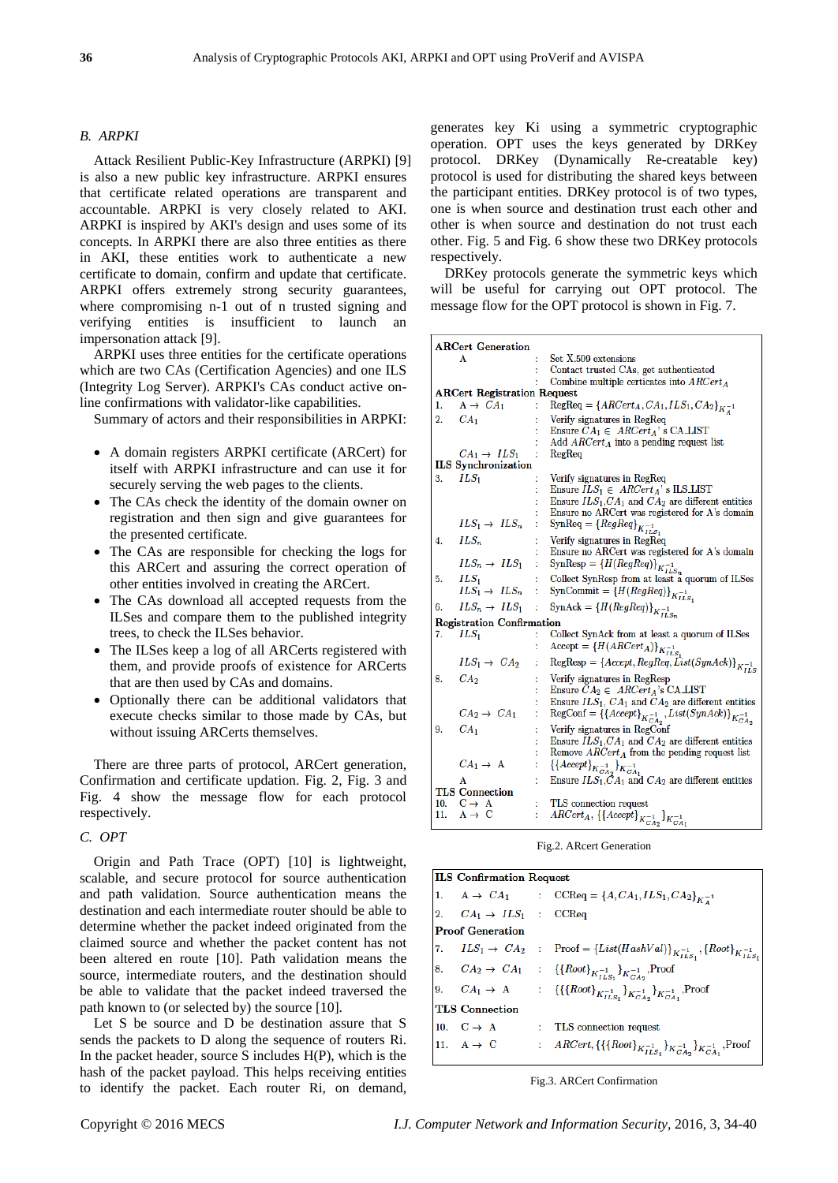## *B. ARPKI*

Attack Resilient Public-Key Infrastructure (ARPKI) [9] is also a new public key infrastructure. ARPKI ensures that certificate related operations are transparent and accountable. ARPKI is very closely related to AKI. ARPKI is inspired by AKI's design and uses some of its concepts. In ARPKI there are also three entities as there in AKI, these entities work to authenticate a new certificate to domain, confirm and update that certificate. ARPKI offers extremely strong security guarantees, where compromising n-1 out of n trusted signing and verifying entities is insufficient to launch an impersonation attack [9].

ARPKI uses three entities for the certificate operations which are two CAs (Certification Agencies) and one ILS (Integrity Log Server). ARPKI's CAs conduct active online confirmations with validator-like capabilities.

Summary of actors and their responsibilities in ARPKI:

- A domain registers ARPKI certificate (ARCert) for itself with ARPKI infrastructure and can use it for securely serving the web pages to the clients.
- The CAs check the identity of the domain owner on registration and then sign and give guarantees for the presented certificate.
- The CAs are responsible for checking the logs for this ARCert and assuring the correct operation of other entities involved in creating the ARCert.
- The CAs download all accepted requests from the ILSes and compare them to the published integrity trees, to check the ILSes behavior.
- The ILSes keep a log of all ARCerts registered with them, and provide proofs of existence for ARCerts that are then used by CAs and domains.
- Optionally there can be additional validators that execute checks similar to those made by CAs, but without issuing ARCerts themselves.

There are three parts of protocol, ARCert generation, Confirmation and certificate updation. Fig. 2, Fig. 3 and Fig. 4 show the message flow for each protocol respectively.

## *C. OPT*

Origin and Path Trace (OPT) [10] is lightweight, scalable, and secure protocol for source authentication and path validation. Source authentication means the destination and each intermediate router should be able to determine whether the packet indeed originated from the claimed source and whether the packet content has not been altered en route [10]. Path validation means the source, intermediate routers, and the destination should be able to validate that the packet indeed traversed the path known to (or selected by) the source [10].

Let S be source and D be destination assure that S sends the packets to D along the sequence of routers Ri. In the packet header, source  $S$  includes  $H(P)$ , which is the hash of the packet payload. This helps receiving entities to identify the packet. Each router Ri, on demand, generates key Ki using a symmetric cryptographic operation. OPT uses the keys generated by DRKey protocol. DRKey (Dynamically Re-creatable key) protocol is used for distributing the shared keys between the participant entities. DRKey protocol is of two types, one is when source and destination trust each other and other is when source and destination do not trust each other. Fig. 5 and Fig. 6 show these two DRKey protocols respectively.

DRKey protocols generate the symmetric keys which will be useful for carrying out OPT protocol. The message flow for the OPT protocol is shown in Fig. 7.

| <b>ARCert Generation</b> |                                                                                  |                                                                                                          |  |  |  |  |  |  |
|--------------------------|----------------------------------------------------------------------------------|----------------------------------------------------------------------------------------------------------|--|--|--|--|--|--|
|                          | Α                                                                                | Set X.509 extensions                                                                                     |  |  |  |  |  |  |
|                          |                                                                                  | Contact trusted CAs, get authenticated                                                                   |  |  |  |  |  |  |
|                          | Combine multiple certicates into $\text{A}\text{R}\text{C}\text{e}rt_{\text{A}}$ |                                                                                                          |  |  |  |  |  |  |
|                          | <b>ARCert Registration Request</b>                                               |                                                                                                          |  |  |  |  |  |  |
| 1.                       | $A \rightarrow CA_1$                                                             | $RegReq = {ARCert_A, CA_1, ILS_1, CA_2}_{K^{-1}}$                                                        |  |  |  |  |  |  |
| $\overline{2}$ .         | CA <sub>1</sub>                                                                  | Verify signatures in RegReq                                                                              |  |  |  |  |  |  |
|                          |                                                                                  | Ensure $CA_1 \in \text{ARCert}_A$ 's CA_LIST                                                             |  |  |  |  |  |  |
|                          |                                                                                  | Add $\text{ARCert}_A$ into a pending request list                                                        |  |  |  |  |  |  |
|                          | $CA_1 \rightarrow ILS_1$                                                         | RegReg                                                                                                   |  |  |  |  |  |  |
|                          | <b>ILS</b> Synchronization                                                       |                                                                                                          |  |  |  |  |  |  |
| 3.                       | $ILS_1$                                                                          | Verify signatures in RegReq                                                                              |  |  |  |  |  |  |
|                          |                                                                                  | Ensure $ILS_1 \in ARCH_A$ 's ILS_LIST                                                                    |  |  |  |  |  |  |
|                          |                                                                                  | Ensure $ILS_1, CA_1$ and $CA_2$ are different entities<br>Ensure no ARCert was registered for A's domain |  |  |  |  |  |  |
|                          | $ILS_1 \rightarrow ILS_n$                                                        | ÷                                                                                                        |  |  |  |  |  |  |
|                          |                                                                                  | Syn $\text{Req} = \{RegReq\}_{K_{ILS_1}}^{1}$                                                            |  |  |  |  |  |  |
| 4.                       | $ILS_n$                                                                          | Verify signatures in RegReq<br>t                                                                         |  |  |  |  |  |  |
|                          |                                                                                  | Ensure no ARCert was registered for A's domain                                                           |  |  |  |  |  |  |
|                          | $ILS_n \rightarrow ILS_1$                                                        | $\text{SynResp} = \left\{H(\mathit{RegReg})\right\}_{K^{-1}_{ILS_n}}$<br>t                               |  |  |  |  |  |  |
| 5.                       | $ILS_1$                                                                          | Collect SynResp from at least a quorum of ILSes                                                          |  |  |  |  |  |  |
|                          | $ILS_1 \rightarrow ILS_n$                                                        | SynCommit = ${H(RegReg)}_{K_{ILS_1}}$<br>÷                                                               |  |  |  |  |  |  |
| 6.                       | $ILS_n \rightarrow ILS_1$                                                        | SynAck = ${H(RegReg)}_{K_{ILS_n}}$<br>÷                                                                  |  |  |  |  |  |  |
|                          | <b>Registration Confirmation</b>                                                 |                                                                                                          |  |  |  |  |  |  |
| 7.                       | $ILS_1$                                                                          | Collect SynAck from at least a quorum of ILSes                                                           |  |  |  |  |  |  |
|                          |                                                                                  | Accept = ${H(ARCert_A)}_{K_{ILS_1}}$<br>t                                                                |  |  |  |  |  |  |
|                          | $ILS_1 \rightarrow CA_2$                                                         | $\text{RegResp} = \{Accept, RegReg, List(SynAck)\}_{K_{ILS}^{-1}}$                                       |  |  |  |  |  |  |
| 8.                       | CA <sub>2</sub>                                                                  | Verify signatures in RegResp                                                                             |  |  |  |  |  |  |
|                          |                                                                                  | Ensure $CA_2 \in \text{ARCert}_A$ 's CA_LIST                                                             |  |  |  |  |  |  |
|                          |                                                                                  | Ensure $ILS_1$ , $CA_1$ and $CA_2$ are different entities                                                |  |  |  |  |  |  |
|                          | $CA_2 \rightarrow CA_1$                                                          | RegConf = $\left\{ \left\{ Accept \right\}_{K_{CA_2}}^{-1}, List(SynAck) \right\}_{K_{CA_2}}$            |  |  |  |  |  |  |
| 9.                       | CA <sub>1</sub>                                                                  | Verify signatures in RegConf                                                                             |  |  |  |  |  |  |
|                          |                                                                                  | Ensure $ILS_1, CA_1$ and $CA_2$ are different entities                                                   |  |  |  |  |  |  |
|                          |                                                                                  | Remove $\mathcal{A}\mathcal{R}\mathcal{C}ert_{\mathcal{A}}$ from the pending request list                |  |  |  |  |  |  |
|                          | $CA_1 \rightarrow A$                                                             | $\{\{Accept\}_{K_{CA_2}^{-1}}\}_{K_{CA_1}^{-1}}$<br>t                                                    |  |  |  |  |  |  |
|                          | A                                                                                | Ensure $ILS_1, CA_1$ and $CA_2$ are different entities                                                   |  |  |  |  |  |  |
|                          | <b>TLS</b> Connection                                                            |                                                                                                          |  |  |  |  |  |  |
|                          | 10. $C \rightarrow A$                                                            | t<br>TLS connection request                                                                              |  |  |  |  |  |  |
| 11.                      | $A \rightarrow C$                                                                | $\braket{ACert_A, \{\{Accept\}}_{K_{CA_2}^{-1}}}_{K_{CA_1}^{-1}}$<br>t                                   |  |  |  |  |  |  |

Fig.2. ARcert Generation

| <b>ILS</b> Confirmation Request     |  |                                                                                                                                                                                                                                                                                               |  |  |  |  |  |
|-------------------------------------|--|-----------------------------------------------------------------------------------------------------------------------------------------------------------------------------------------------------------------------------------------------------------------------------------------------|--|--|--|--|--|
|                                     |  | 1. $A \rightarrow CA_1$ : CCReq = {A, CA <sub>1</sub> , ILS <sub>1</sub> , CA <sub>2</sub> } <sub>K<sub>A</sub><sup>-1</sup></sub>                                                                                                                                                            |  |  |  |  |  |
| 2. $CA_1 \rightarrow ILS_1$ : CCReq |  |                                                                                                                                                                                                                                                                                               |  |  |  |  |  |
| <b>Proof Generation</b>             |  |                                                                                                                                                                                                                                                                                               |  |  |  |  |  |
|                                     |  | 7. $ILS_1 \rightarrow CA_2$ : Proof = { $List(HashVal)$ } <sub>K<sub>ILS<sub>1</sub></sub>, {Root}<sub>K<sub>ILS<sub>1</sub></sub></sub></sub>                                                                                                                                                |  |  |  |  |  |
|                                     |  | 8. $CA_2 \rightarrow CA_1$ : {{ $Root$ } <sub>K<sub>ILS1</sub>}<sub>K<sub>ULS1</sub></sub>}<sub>K<sub>ULS1</sub></sub>}Proof</sub>                                                                                                                                                            |  |  |  |  |  |
|                                     |  | 9. $CA_1 \rightarrow A$ : {{ $\{Root\}_{K_{ILS_1}}^{-1}$ } <sub>K<sup>-1</sup><sub>CA1</sub></sub> } <sub>K<sub>CA1</sub>,<sup>Proof</sup></sub>                                                                                                                                              |  |  |  |  |  |
| <b>TLS</b> Connection               |  |                                                                                                                                                                                                                                                                                               |  |  |  |  |  |
|                                     |  |                                                                                                                                                                                                                                                                                               |  |  |  |  |  |
|                                     |  | 10. $C \rightarrow A$ : TLS connection request<br>11. $A \rightarrow C$ : $ARCert, \{\{\{Root\}_{K, \tau} \}}$<br>: $\;$ ARCert, {{{Root} <sub>K<sup>-1</sup><sub>LS</sub>,}<sub>K</sub><sup>-1</sup><sub>CA<sub>2</sub></sub>}<sub>K</sub><sup>-1</sup><sub>CA<sub>1</sub></sub>,Proof</sub> |  |  |  |  |  |
|                                     |  |                                                                                                                                                                                                                                                                                               |  |  |  |  |  |

Fig.3. ARCert Confirmation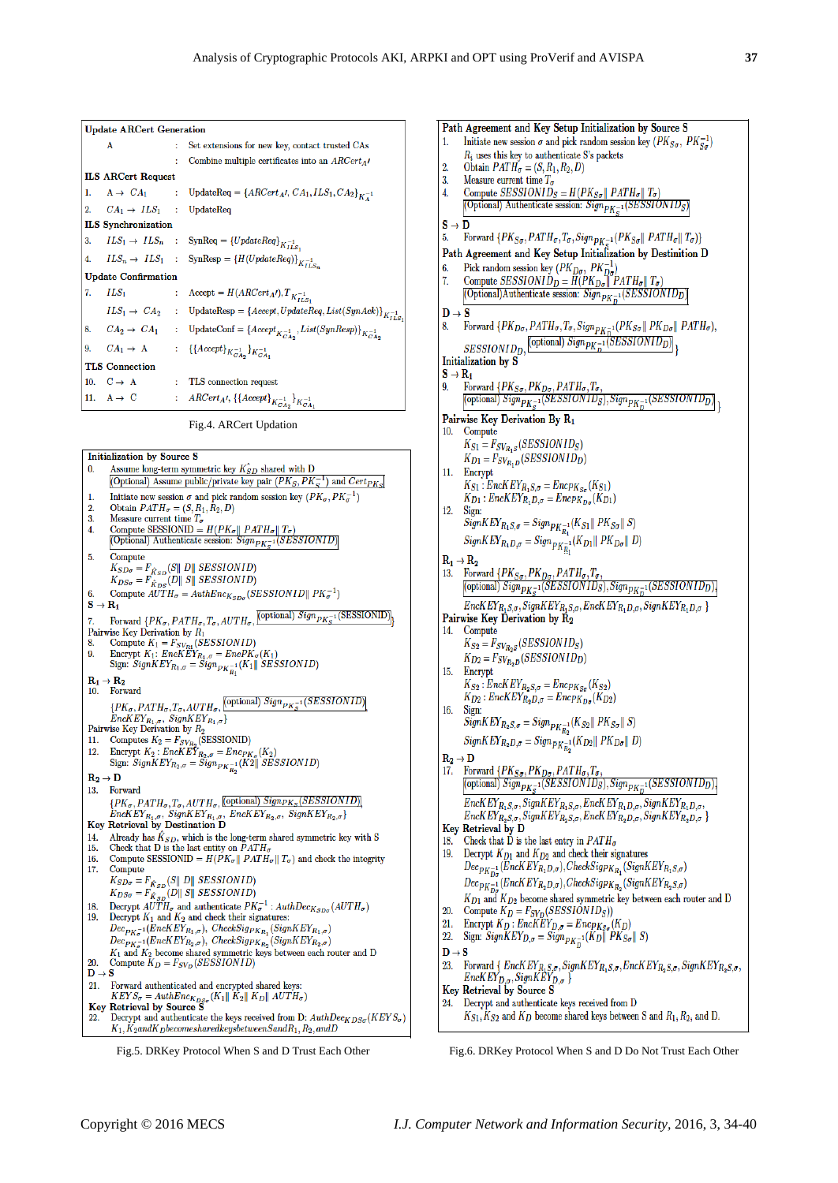1.

 $\mathcal{D}$ 

| <b>Update ARCert Generation</b>         |    |                                                                                                                                                            |
|-----------------------------------------|----|------------------------------------------------------------------------------------------------------------------------------------------------------------|
| A                                       | t. | Set extensions for new key, contact trusted CAs                                                                                                            |
|                                         |    | Combine multiple certificates into an $\rm ARCert_{\rm A}$                                                                                                 |
| <b>ILS ARCert Request</b>               |    |                                                                                                                                                            |
|                                         |    | 1. $A \to CA_1$ : UpdateReq = { $ARCert_A/$ , $CA_1, ILS_1, CA_2$ } <sub>K<sup>-1</sup></sub>                                                              |
| 2. $CA_1 \rightarrow ILS_1$ : UpdateReq |    |                                                                                                                                                            |
| <b>ILS</b> Synchronization              |    |                                                                                                                                                            |
|                                         |    | 3. $ILS_1 \rightarrow ILS_n$ : SynReq = { <i>UpdateReq</i> } <sub>K<sub><i>LLS</i></sub>.</sub>                                                            |
|                                         |    | 4. $ILS_n \rightarrow ILS_1$ : SynResp = { $H(UpdateReq)$ } <sub>K<sub>LSn</sub></sub>                                                                     |
| <b>Update Confirmation</b>              |    |                                                                                                                                                            |
| 7. $ILS_1$                              |    | : Accept = $H(ARCert_A t), T_{K_{ILS_t}}$                                                                                                                  |
|                                         |    | $ILS_1 \rightarrow CA_2$ : UpdateResp = {Accept, UpdateReq, List(SynAck)} $K_{ILS}^{-1}$                                                                   |
|                                         |    | 8. $CA_2 \rightarrow CA_1$ : UpdateConf = { $Accept_{K_{CAs_2}}^{-1}$ , $List(SynResp)$ } $_{K_{CAs_2}}^{-1}$                                              |
|                                         |    | 9. $CA_1 \rightarrow A$ : {{Accept} $_{K_{C}^{-1}A_2}^{1}$ } $_{K_{C}^{-1}A_3}^{1}$                                                                        |
| <b>TLS</b> Connection                   |    |                                                                                                                                                            |
|                                         |    | 10. $C \rightarrow A$ : TLS connection request                                                                                                             |
| 11. $A \rightarrow C$                   |    | : $\;$ ARCert <sub>A</sub> t, {{Accept} <sub>K</sub> <sup>-1</sup> <sub>K<sup>-1</sup><sub>N</sub><sup>-1</sup><sub>K</sub><sup>-1</sup><sub>N</sub></sub> |
|                                         |    |                                                                                                                                                            |

Fig.4. ARCert Updation



Obtain  $PATH_{\sigma} = (S, R_1, R_2, D)$  $3.$ Measure current time  $T_{\sigma}$ Compute SESSIONID<sub>S</sub> =  $H(PK_{S\sigma}||$  PATH<sub> $\sigma||$ </sub> T<sub> $\sigma$ </sub>)  $\overline{4}$ . (Optional) Authenticate session:  $Sign_{PK_{\sigma}^{-1}}(SESSIONID_S)$  $\mathbf{S}\to\mathbf{D}$ Forward  $\{PK_{S\sigma}, PATH_{\sigma}, T_{\sigma}, Sign_{PK_{\sigma}^{-1}}(PK_{S\sigma}||\;PATH_{\sigma}||\;T_{\sigma})\}$ 5. Path Agreement and Key Setup Initialization by Destinition D Pick random session key  $(PK_{Do}, PK_{Do}^{-1})$ <br>Compute SESSIONID<sub>D</sub> =  $H(PK_{Do}|| PATH_{\sigma}|| T_{\sigma})$ 7. (Optional)Authenticate session:  $Sign_{PK_{D}^{-1}}(SESSIONID_{D})$  $D \rightarrow S$ Forward  $\{PK_{D\sigma}, PATH_{\sigma}, T_{\sigma}, Sign_{PK_{D}^{-1}}(PK_{S\sigma} \parallel PK_{D\sigma} \parallel PATH_{\sigma}),$ 8.  $SESSIONID_D, \frac{(\text{optional}) Sign_{PK_D^{-1}}(SESSIONID_D)}{\{ \text{optional} \space Sign_{PK_D^{-1}}(SESSIONID_D) \}}$ Initialization by S  $S \rightarrow R_1$ Forward  $\{PK_{S\sigma}, PK_{D\sigma}, PATH_{\sigma}, T_{\sigma},$ <br>
[optional]  $Sign_{PK_{S}^{-1}}(SESSIONID_{S}), Sign_{PK_{D}^{-1}}(SESSIONID_{D})$ ]  $\mathbf{q}$ Pairwise Key Derivation By R<sub>1</sub> Comput 10.  $K_{S1} = F_{SV_{R_1S}}(SESSIONID_S)$  $K_{D1} = F_{SV_{R_1D}}(SESSIONID_D)$  $11.$ Encrypt  $K_{S1}$ : Enc $K E Y_{R_1S,\sigma} = E n c_{PK_{S\sigma}} (K_{S1})$  $K_{D1}$ : Enc $KEY_{R_1D,\sigma} = Enc_{PK_{D\sigma}}(K_{D1})$ 12. Sign  $SignKEY_{R_1S,\sigma} = Sign_{PK_{R_1}^{-1}}(K_{S1}||PK_{S\sigma}||S)$  $SignKEY_{R_1D,\sigma} = Sign_{PK_{R_1}^{-1}}(K_{D1} \parallel PK_{D\sigma} \parallel D)$  ${\bf R_1} \rightarrow {\bf R_2}$ 13. Forward  $\{PK_{S\sigma}, PK_{D\sigma}, PATH_{\sigma}, T_{\sigma},$  (optional)  $Sign_{PK_{S}^{-1}}(SESSIONID_{S}), Sign_{PK_{D}^{-1}}(SESSIONID_{D})\}$  $EncKEY_{R_1S,\sigma}$ , Sign $KEY_{R_1S,\sigma}$ , EncK  $EY_{R_1D,\sigma}$ , Sign $KEY_{R_1D,\sigma}$ Pairwise Key Derivation by R<sub>2</sub> 14. Compute  $K_{S2} = F_{SV_{R_2S}}(SESSIONID_S)$  $K_{D2} = F_{SV_{R_2D}}(SESSIONID_D)$ 15. Encrypt  $K_{S2}$ : EncK  $EY_{R_2S,\sigma} = Enc_{PK_{S\sigma}}(K_{S2})$  $K_{D2}$ : Enc $KEY_{R_2D,\sigma}$  = Encp $K_{D\sigma}$  ( $K_{D2}$ ) 16. Sign  $SignKEY_{R_2S,\sigma} = Sign_{PK_{R_2}^{-1}}(K_{S2}||PK_{S\sigma}||S)$  $SignKEY_{R_2D,\sigma} = Sign_{PK_{R_2}^{-1}}(K_{D2}||PK_{D\sigma}||D)$  $R_2\rightarrow D$ 17. Forward  $\{PK_{So}, PK_{Do}, PATH_{\sigma}, T_{\sigma},$  [optional)  $Sign_{PK_{S}^{-1}}(SESSIONID_{S}), Sign_{PK_{D}^{-1}}(SESSIONID_{D})\}$  $EncKEY_{R_1S,\sigma}, SignKEY_{R_1S,\sigma}, EncKEY_{R_1D,\sigma}, SignKEY_{R_1D,\sigma},$  $EncKEY_{R_2S,\sigma}, SignKEY_{R_2S,\sigma}, EncKEY_{R_2D,\sigma}, SignKEY_{R_2D,\sigma}$ Key Retrieval by D Check that  $\tilde{D}$  is the last entry in  $PATH_{\sigma}$ 18. 19. Decrypt  $K_{D1}$  and  $K_{D2}$  and check their signatures  $\textit{Dec}_{PK_{Da}^{-1}}(\widetilde{Enc}KEY_{R_1D,\sigma}^{\tau}), \textit{CheckSign}_{K_{R_1}}(\textit{SignKEY}_{R_1S,\sigma})$  $\label{eq:decoupling} \begin{array}{lll} Dec_{PK_{D\sigma}^{-1}}(EncKEY_{R_{2}D,\sigma}), CheckSign_{R_{2}}(SignKEY_{R_{2}S,\sigma}) \end{array}$  $K_{D1}$  and  $K_{D2}$  become shared symmetric key between each router and D Compute  $K_D = F_{SV_D}(SESSIONID_S)$ Encrypt  $K_D$ : Enc $K EY_{D,\sigma} = E n c p_{Ks\sigma}(K_D)$ <br>Sign: Sign $K EY_{D,\sigma} = S i g n_{P K_D^{-1}}(K_D || P K_{S\sigma} || S)$  $21.$  $22.$  $\mathbf{D}\to\mathbf{S}$ 23. Forward {  $EncK EY_{R_1S,\sigma}, SignKEY_{R_1S,\sigma}, EncK EY_{R_2S,\sigma}, SignKEY_{R_2S,\sigma}, EncK EY_{D,\sigma}, SignKEY_{D,\sigma}$ }<br> Key Retrieval by Source S 24. Decrypt and authenticate keys received from D

Path Agreement and Key Setup Initialization by Source S Initiate new session  $\sigma$  and pick random session key ( $PK_{S\sigma}$ ,  $PK_{S\sigma}^{-1}$ )

 $R_i$  uses this key to authenticate S's packets

 $K_{S1}, K_{S2}$  and  $K_D$  become shared keys between S and  $R_1, R_2$ , and D.

Fig.5. DRKey Protocol When S and D Trust Each Other Fig.6. DRKey Protocol When S and D Do Not Trust Each Other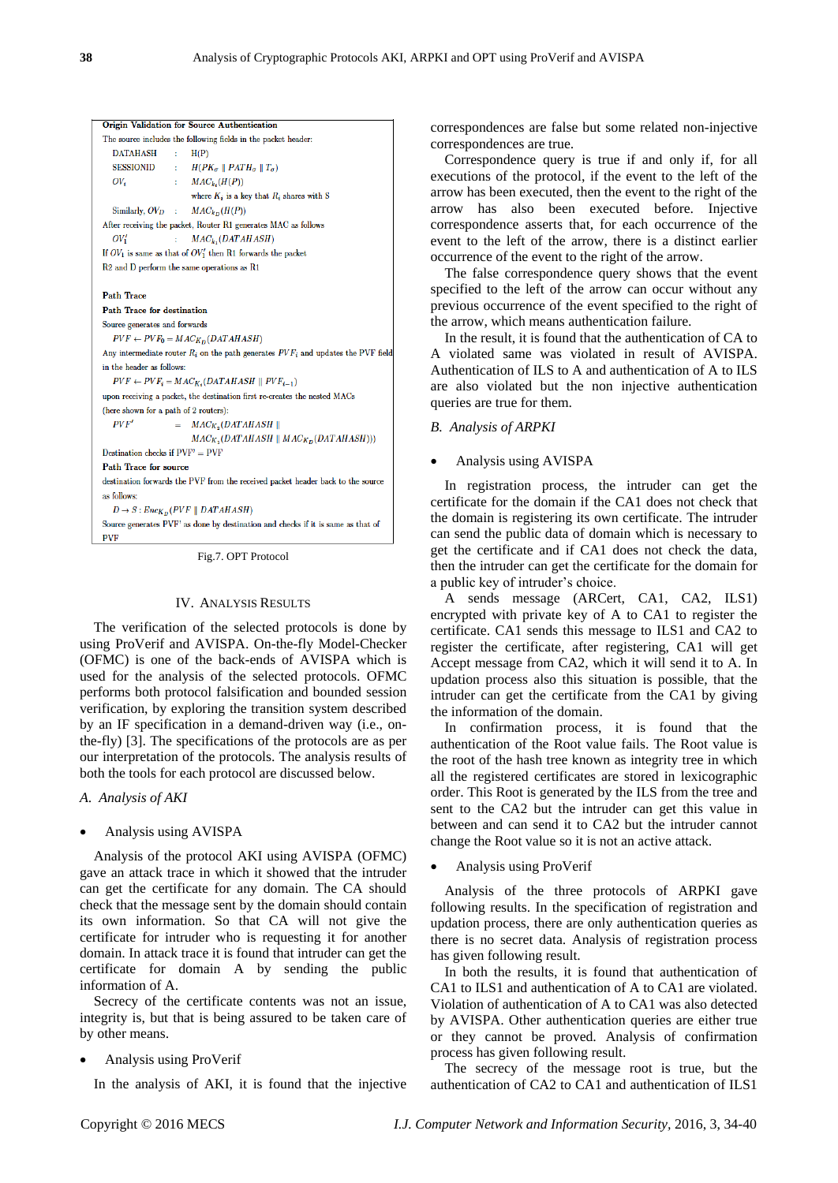|                                                                                 | <b>Origin Validation for Source Authentication</b>                                    |  |  |  |  |  |
|---------------------------------------------------------------------------------|---------------------------------------------------------------------------------------|--|--|--|--|--|
|                                                                                 | The source includes the following fields in the packet header:                        |  |  |  |  |  |
| <b>DATAHASH</b>                                                                 | H(P)<br>÷                                                                             |  |  |  |  |  |
| SESSIONID                                                                       | : $H(PK_{\sigma} \parallel PATH_{\sigma} \parallel T_{\sigma})$                       |  |  |  |  |  |
| $OV_i$                                                                          | : $MAC_{k_2}(H(P))$                                                                   |  |  |  |  |  |
|                                                                                 | where $K_i$ is a key that $R_i$ shares with S                                         |  |  |  |  |  |
|                                                                                 | Similarly, $OV_D$ : $MAC_{kn}(H(P))$                                                  |  |  |  |  |  |
|                                                                                 | After receiving the packet, Router R1 generates MAC as follows                        |  |  |  |  |  |
| $OV'_1$                                                                         | $MAC_k$ , $(DATAHASH)$<br>t.                                                          |  |  |  |  |  |
|                                                                                 | If $OV_1$ is same as that of $OV'_1$ then R1 forwards the packet                      |  |  |  |  |  |
|                                                                                 | R2 and D perform the same operations as R1                                            |  |  |  |  |  |
|                                                                                 |                                                                                       |  |  |  |  |  |
| <b>Path Trace</b>                                                               |                                                                                       |  |  |  |  |  |
| <b>Path Trace for destination</b>                                               |                                                                                       |  |  |  |  |  |
|                                                                                 | Source generates and forwards                                                         |  |  |  |  |  |
|                                                                                 | $PVF \leftarrow PVF_0 = MAC_{K_D}(DATAHASH)$                                          |  |  |  |  |  |
|                                                                                 | Any intermediate router $R_i$ on the path generates $PVF_i$ and updates the PVF field |  |  |  |  |  |
| in the header as follows:                                                       |                                                                                       |  |  |  |  |  |
|                                                                                 | $PVF \leftarrow PVF_i = MAC_{K_i}(DATAHASH \parallel PVF_{i-1})$                      |  |  |  |  |  |
| upon receiving a packet, the destination first re-creates the nested MACs       |                                                                                       |  |  |  |  |  |
| (here shown for a path of 2 routers):                                           |                                                                                       |  |  |  |  |  |
| PVF'                                                                            | $= MAC_{K_2}(DATAHASH)$                                                               |  |  |  |  |  |
|                                                                                 | $MAC_{K_1}(DATAHASH \parallel MAC_{K_D}(DATAHASH)))$                                  |  |  |  |  |  |
| Destination checks if $PVF' = PVF$                                              |                                                                                       |  |  |  |  |  |
| Path Trace for source                                                           |                                                                                       |  |  |  |  |  |
| destination forwards the PVF from the received packet header back to the source |                                                                                       |  |  |  |  |  |
| as follows:                                                                     |                                                                                       |  |  |  |  |  |
| $D \rightarrow S : Enc_{K_D}(PVF    DATAHASH)$                                  |                                                                                       |  |  |  |  |  |
|                                                                                 | Source generates PVF' as done by destination and checks if it is same as that of      |  |  |  |  |  |
| <b>PVF</b>                                                                      |                                                                                       |  |  |  |  |  |

Fig.7. OPT Protocol

#### IV. ANALYSIS RESULTS

The verification of the selected protocols is done by using ProVerif and AVISPA. On-the-fly Model-Checker (OFMC) is one of the back-ends of AVISPA which is used for the analysis of the selected protocols. OFMC performs both protocol falsification and bounded session verification, by exploring the transition system described by an IF specification in a demand-driven way (i.e., onthe-fly) [3]. The specifications of the protocols are as per our interpretation of the protocols. The analysis results of both the tools for each protocol are discussed below.

*A*. *Analysis of AKI*

#### Analysis using AVISPA

Analysis of the protocol AKI using AVISPA (OFMC) gave an attack trace in which it showed that the intruder can get the certificate for any domain. The CA should check that the message sent by the domain should contain its own information. So that CA will not give the certificate for intruder who is requesting it for another domain. In attack trace it is found that intruder can get the certificate for domain A by sending the public information of A.

Secrecy of the certificate contents was not an issue, integrity is, but that is being assured to be taken care of by other means.

## Analysis using ProVerif

In the analysis of AKI, it is found that the injective

correspondences are false but some related non-injective correspondences are true.

Correspondence query is true if and only if, for all executions of the protocol, if the event to the left of the arrow has been executed, then the event to the right of the arrow has also been executed before. Injective correspondence asserts that, for each occurrence of the event to the left of the arrow, there is a distinct earlier occurrence of the event to the right of the arrow.

The false correspondence query shows that the event specified to the left of the arrow can occur without any previous occurrence of the event specified to the right of the arrow, which means authentication failure.

In the result, it is found that the authentication of CA to A violated same was violated in result of AVISPA. Authentication of ILS to A and authentication of A to ILS are also violated but the non injective authentication queries are true for them.

## *B. Analysis of ARPKI*

#### Analysis using AVISPA

In registration process, the intruder can get the certificate for the domain if the CA1 does not check that the domain is registering its own certificate. The intruder can send the public data of domain which is necessary to get the certificate and if CA1 does not check the data, then the intruder can get the certificate for the domain for a public key of intruder's choice.

A sends message (ARCert, CA1, CA2, ILS1) encrypted with private key of A to CA1 to register the certificate. CA1 sends this message to ILS1 and CA2 to register the certificate, after registering, CA1 will get Accept message from CA2, which it will send it to A. In updation process also this situation is possible, that the intruder can get the certificate from the CA1 by giving the information of the domain.

In confirmation process, it is found that the authentication of the Root value fails. The Root value is the root of the hash tree known as integrity tree in which all the registered certificates are stored in lexicographic order. This Root is generated by the ILS from the tree and sent to the CA2 but the intruder can get this value in between and can send it to CA2 but the intruder cannot change the Root value so it is not an active attack.

## Analysis using ProVerif

Analysis of the three protocols of ARPKI gave following results. In the specification of registration and updation process, there are only authentication queries as there is no secret data. Analysis of registration process has given following result.

In both the results, it is found that authentication of CA1 to ILS1 and authentication of A to CA1 are violated. Violation of authentication of A to CA1 was also detected by AVISPA. Other authentication queries are either true or they cannot be proved. Analysis of confirmation process has given following result.

The secrecy of the message root is true, but the authentication of CA2 to CA1 and authentication of ILS1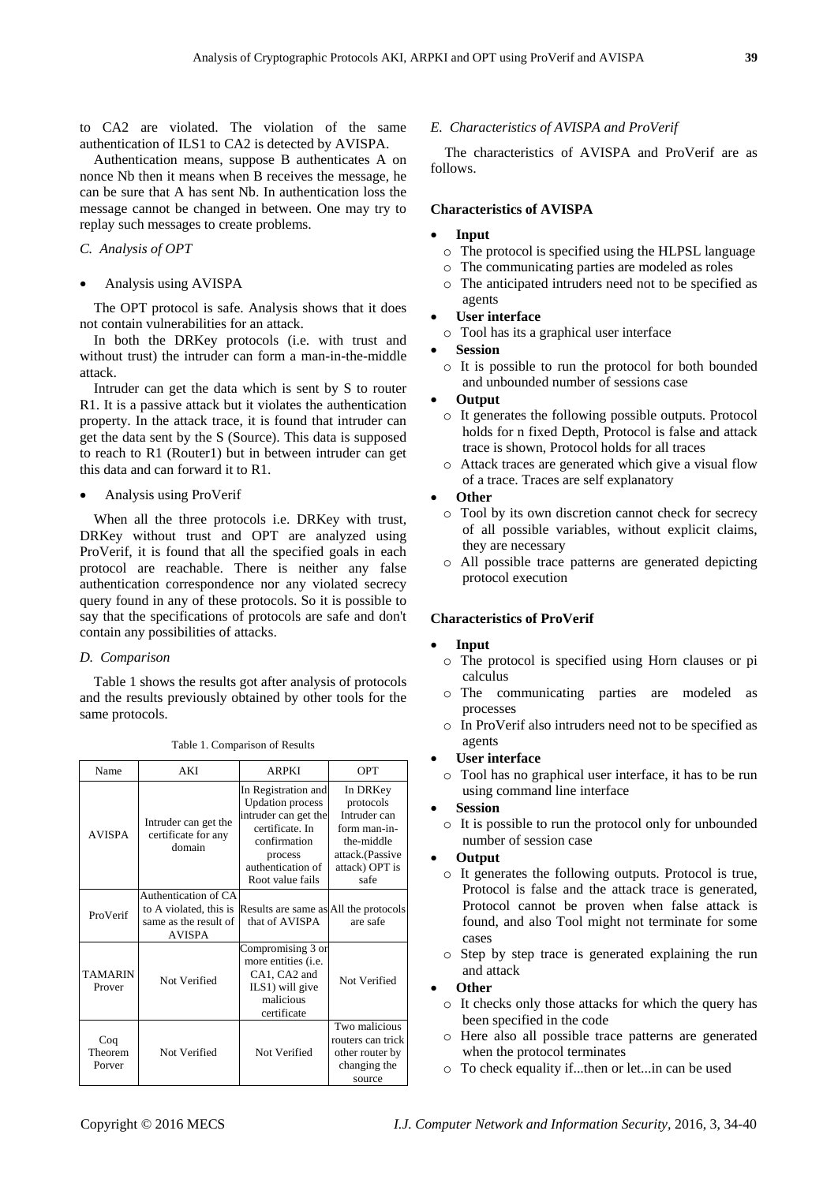to CA2 are violated. The violation of the same authentication of ILS1 to CA2 is detected by AVISPA.

Authentication means, suppose B authenticates A on nonce Nb then it means when B receives the message, he can be sure that A has sent Nb. In authentication loss the message cannot be changed in between. One may try to replay such messages to create problems.

## *C. Analysis of OPT*

#### Analysis using AVISPA

The OPT protocol is safe. Analysis shows that it does not contain vulnerabilities for an attack.

In both the DRKey protocols (i.e. with trust and without trust) the intruder can form a man-in-the-middle attack.

Intruder can get the data which is sent by S to router R1. It is a passive attack but it violates the authentication property. In the attack trace, it is found that intruder can get the data sent by the S (Source). This data is supposed to reach to R1 (Router1) but in between intruder can get this data and can forward it to R1.

#### Analysis using ProVerif

When all the three protocols i.e. DRKey with trust, DRKey without trust and OPT are analyzed using ProVerif, it is found that all the specified goals in each protocol are reachable. There is neither any false authentication correspondence nor any violated secrecy query found in any of these protocols. So it is possible to say that the specifications of protocols are safe and don't contain any possibilities of attacks.

## *D. Comparison*

Table 1 shows the results got after analysis of protocols and the results previously obtained by other tools for the same protocols.

| Name                     | AKI                                                                                      | <b>ARPKI</b>                                                                                                                                                  | OPT                                                                                                              |
|--------------------------|------------------------------------------------------------------------------------------|---------------------------------------------------------------------------------------------------------------------------------------------------------------|------------------------------------------------------------------------------------------------------------------|
| <b>AVISPA</b>            | Intruder can get the<br>certificate for any<br>domain                                    | In Registration and<br><b>Updation process</b><br>intruder can get the<br>certificate. In<br>confirmation<br>process<br>authentication of<br>Root value fails | In DRKey<br>protocols<br>Intruder can<br>form man-in-<br>the-middle<br>attack.(Passive<br>attack) OPT is<br>safe |
| ProVerif                 | Authentication of CA<br>to A violated, this is<br>same as the result of<br><b>AVISPA</b> | Results are same as All the protocols<br>that of AVISPA                                                                                                       | are safe                                                                                                         |
| <b>TAMARIN</b><br>Prover | Not Verified                                                                             | Compromising 3 or<br>more entities ( <i>i.e.</i><br>CA1, CA2 and<br>ILS1) will give<br>malicious<br>certificate                                               | Not Verified                                                                                                     |
| Coq<br>Theorem<br>Porver | Not Verified                                                                             | Not Verified                                                                                                                                                  | Two malicious<br>routers can trick<br>other router by<br>changing the<br>source                                  |

Table 1. Comparison of Results

## *E. Characteristics of AVISPA and ProVerif*

The characteristics of AVISPA and ProVerif are as follows.

## **Characteristics of AVISPA**

#### **Input**

- o The protocol is specified using the HLPSL language
- o The communicating parties are modeled as roles
- o The anticipated intruders need not to be specified as agents

## **User interface**

- o Tool has its a graphical user interface
- **Session**
- o It is possible to run the protocol for both bounded and unbounded number of sessions case

#### **Output**

- o It generates the following possible outputs. Protocol holds for n fixed Depth, Protocol is false and attack trace is shown, Protocol holds for all traces
- o Attack traces are generated which give a visual flow of a trace. Traces are self explanatory

## **Other**

- o Tool by its own discretion cannot check for secrecy of all possible variables, without explicit claims, they are necessary
- o All possible trace patterns are generated depicting protocol execution

## **Characteristics of ProVerif**

#### **Input**

- o The protocol is specified using Horn clauses or pi calculus
- o The communicating parties are modeled as processes
- o In ProVerif also intruders need not to be specified as agents

#### **User interface**

o Tool has no graphical user interface, it has to be run using command line interface

## **Session**

o It is possible to run the protocol only for unbounded number of session case

## **Output**

- o It generates the following outputs. Protocol is true, Protocol is false and the attack trace is generated, Protocol cannot be proven when false attack is found, and also Tool might not terminate for some cases
- o Step by step trace is generated explaining the run and attack

## **Other**

- o It checks only those attacks for which the query has been specified in the code
- o Here also all possible trace patterns are generated when the protocol terminates
- o To check equality if...then or let...in can be used